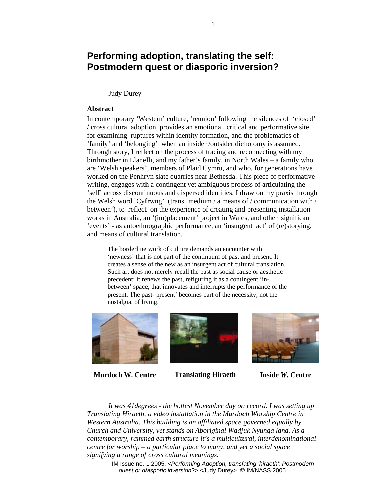# **Performing adoption, translating the self: Postmodern quest or diasporic inversion?**

Judy Durey

#### **Abstract**

In contemporary 'Western' culture, 'reunion' following the silences of 'closed' / cross cultural adoption, provides an emotional, critical and performative site for examining ruptures within identity formation, and the problematics of 'family' and 'belonging' when an insider /outsider dichotomy is assumed. Through story, I reflect on the process of tracing and reconnecting with my birthmother in Llanelli, and my father's family, in North Wales – a family who are 'Welsh speakers', members of Plaid Cymru, and who, for generations have worked on the Penhryn slate quarries near Bethesda. This piece of performative writing, engages with a contingent yet ambiguous process of articulating the 'self' across discontinuous and dispersed identities. I draw on my praxis through the Welsh word 'Cyfrwng' (trans.'medium / a means of / communication with / between'), to reflect on the experience of creating and presenting installation works in Australia, an '(im)placement' project in Wales, and other significant 'events' - as autoethnographic performance, an 'insurgent act' of (re)storying, and means of cultural translation.

The borderline work of culture demands an encounter with 'newness' that is not part of the continuum of past and present. It creates a sense of the new as an insurgent act of cultural translation. Such art does not merely recall the past as social cause or aesthetic precedent; it renews the past, refiguring it as a contingent 'inbetween' space, that innovates and interrupts the performance of the present. The past- present' becomes part of the necessity, not the nostalgia, of living.<sup>1</sup>



**Murdoch W. Centre Translating Hiraeth Inside** *W.* **Centre**





*It was 41degrees - the hottest November day on record. I was setting up Translating Hiraeth, a video installation in the Murdoch Worship Centre in Western Australia. This building is an affiliated space governed equally by Church and University, yet stands on Aboriginal Wadjuk Nyunga land. As a contemporary, rammed earth structure it's a multicultural, interdenominational centre for worship – a particular place to many, and yet a social space signifying a range of cross cultural meanings.* 

> IM Issue no. 1 2005. <*Performing Adoption, translating 'hiraeth': Postmodern quest or diasporic inversion*?>.<Judy Durey>. © IM/NASS 2005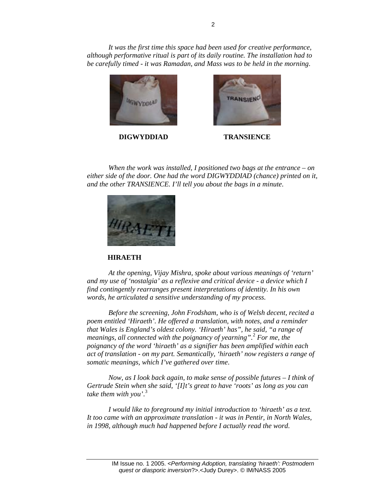*It was the first time this space had been used for creative performance, although performative ritual is part of its daily routine. The installation had to be carefully timed - it was Ramadan, and Mass was to be held in the morning*.



**DIGWYDDIAD TRANSIENCE** 



*When the work was installed, I positioned two bags at the entrance – on either side of the door. One had the word DIGWYDDIAD (chance) printed on it, and the other TRANSIENCE. I'll tell you about the bags in a minute*.



#### **HIRAETH**

*At the opening, Vijay Mishra, spoke about various meanings of 'return' and my use of 'nostalgia' as a reflexive and critical device - a device which I find contingently rearranges present interpretations of identity. In his own words, he articulated a sensitive understanding of my process.* 

*Before the screening, John Frodsham, who is of Welsh decent, recited a poem entitled 'Hiraeth'. He offered a translation, with notes, and a reminder that Wales is England's oldest colony. 'Hiraeth' has", he said, "a range of meanings, all connected with the poignancy of yearning".*<sup>2</sup>  *For me, the poignancy of the word 'hiraeth' as a signifier has been amplified within each act of translation - on my part. Semantically, 'hiraeth' now registers a range of somatic meanings, which I've gathered over time*.

*Now, as I look back again, to make sense of possible futures – I think of Gertrude Stein when she said, '[I]t's great to have 'roots' as long as you can take them with you'*. 3

*I would like to foreground my initial introduction to 'hiraeth' as a text. It too came with an approximate translation - it was in Pentir, in North Wales, in 1998, although much had happened before I actually read the word*.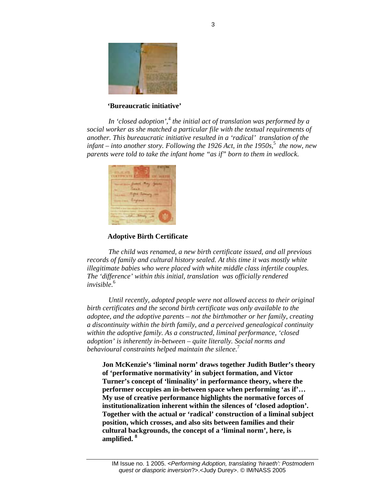

## **'Bureaucratic initiative'**

In 'closed adoption',<sup>4</sup> the initial act of translation was performed by a *social worker as she matched a particular file with the textual requirements of another. This bureaucratic initiative resulted in a 'radical' translation of the infant* – *into another story. Following the 1926 Act, in the 1950s*,<sup>5</sup> the now, new *parents were told to take the infant home "as if" born to them in wedlock*.



## **Adoptive Birth Certificate**

*The child was renamed, a new birth certificate issued, and all previous records of family and cultural history sealed. At this time it was mostly white illegitimate babies who were placed with white middle class infertile couples. The 'difference' within this initial, translation was officially rendered invisible*. 6

*Until recently, adopted people were not allowed access to their original birth certificates and the second birth certificate was only available to the adoptee, and the adoptive parents – not the birthmother or her family, creating a discontinuity within the birth family, and a perceived genealogical continuity within the adoptive family. As a constructed, liminal performance, 'closed adoption' is inherently in-between – quite literally. Social norms and behavioural constraints helped maintain the silence*. 7

**Jon McKenzie's 'liminal norm' draws together Judith Butler's theory of 'performative normativity' in subject formation, and Victor Turner's concept of 'liminality' in performance theory, where the performer occupies an in-between space when performing 'as if'… My use of creative performance highlights the normative forces of institutionalization inherent within the silences of 'closed adoption'. Together with the actual or 'radical' construction of a liminal subject position, which crosses, and also sits between families and their cultural backgrounds, the concept of a 'liminal norm', here, is amplified. 8**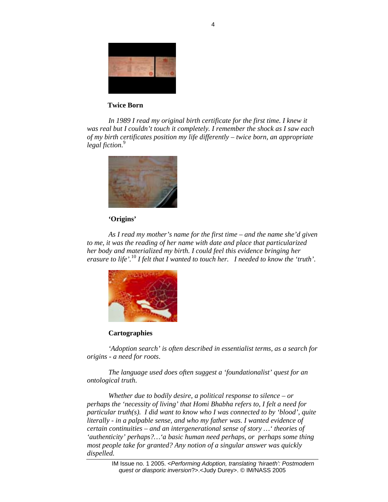

## **Twice Born**

*In 1989 I read my original birth certificate for the first time. I knew it was real but I couldn't touch it completely. I remember the shock as I saw each of my birth certificates position my life differently – twice born, an appropriate legal fiction*. 9



#### **'Origins'**

*As I read my mother's name for the first time – and the name she'd given to me, it was the reading of her name with date and place that particularized her body and materialized my birth. I could feel this evidence bringing her erasure to life'.*<sup>10</sup> *I felt that I wanted to touch her. I needed to know the 'truth'*.



#### **Cartographies**

*'Adoption search' is often described in essentialist terms, as a search for origins - a need for roots*.

*The language used does often suggest a 'foundationalist' quest for an ontological truth*.

*Whether due to bodily desire, a political response to silence – or perhaps the 'necessity of living' that Homi Bhabha refers to, I felt a need for particular truth(s). I did want to know who I was connected to by 'blood', quite literally - in a palpable sense, and who my father was. I wanted evidence of certain continuities – and an intergenerational sense of story …' theories of 'authenticity' perhaps?…'a basic human need perhaps, or perhaps some thing most people take for granted? Any notion of a singular answer was quickly dispelled.*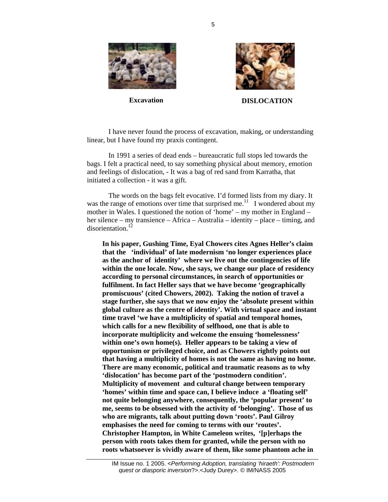





**Excavation DISLOCATION** 

I have never found the process of excavation, making, or understanding linear, but I have found my praxis contingent.

In 1991 a series of dead ends – bureaucratic full stops led towards the bags. I felt a practical need, to say something physical about memory, emotion and feelings of dislocation, - It was a bag of red sand from Karratha, that initiated a collection - it was a gift.

The words on the bags felt evocative. I'd formed lists from my diary. It was the range of emotions over time that surprised me.<sup>11</sup> I wondered about my mother in Wales. I questioned the notion of 'home' – my mother in England – her silence – my transience – Africa – Australia – identity – place – timing, and disorientation<sup>12</sup>

**In his paper, Gushing Time, Eyal Chowers cites Agnes Heller's claim that the 'individual' of late modernism 'no longer experiences place as the anchor of identity' where we live out the contingencies of life within the one locale. Now, she says, we change our place of residency according to personal circumstances, in search of opportunities or fulfilment. In fact Heller says that we have become 'geographically promiscuous' (cited Chowers, 2002). Taking the notion of travel a stage further, she says that we now enjoy the 'absolute present within global culture as the centre of identity'. With virtual space and instant time travel 'we have a multiplicity of spatial and temporal homes, which calls for a new flexibility of selfhood, one that is able to incorporate multiplicity and welcome the ensuing 'homelessness' within one's own home(s). Heller appears to be taking a view of opportunism or privileged choice, and as Chowers rightly points out that having a multiplicity of homes is not the same as having no home. There are many economic, political and traumatic reasons as to why 'dislocation' has become part of the 'postmodern condition'. Multiplicity of movement and cultural change between temporary 'homes' within time and space can, I believe induce a 'floating self' not quite belonging anywhere, consequently, the 'popular present' to me, seems to be obsessed with the activity of 'belonging'. Those of us who are migrants, talk about putting down 'roots'. Paul Gilroy emphasises the need for coming to terms with our 'routes'. Christopher Hampton, in White Cameleon writes, '[p]erhaps the person with roots takes them for granted, while the person with no roots whatsoever is vividly aware of them, like some phantom ache in** 

5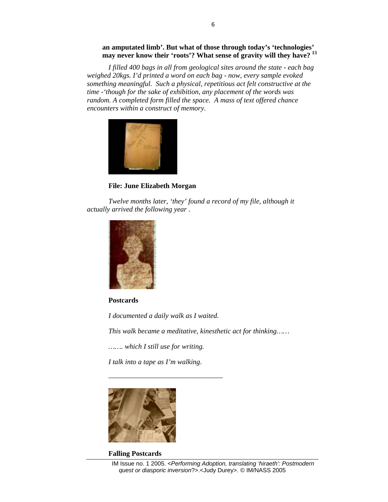## **an amputated limb'. But what of those through today's 'technologies' may never know their 'roots'? What sense of gravity will they have? 13**

*I filled 400 bags in all from geological sites around the state - each bag weighed 20kgs. I'd printed a word on each bag - now, every sample evoked something meaningful. Such a physical, repetitious act felt constructive at the time -'though for the sake of exhibition, any placement of the words was random. A completed form filled the space. A mass of text offered chance encounters within a construct of memory*.



**File: June Elizabeth Morgan** 

*Twelve months later, 'they' found a record of my file, although it actually arrived the following year* .



**Postcards** 

*I documented a daily walk as I waited.* 

————————————————

*This walk became a meditative, kinesthetic act for thinking……* 

*……. which I still use for writing.* 

*I talk into a tape as I'm walking*.



#### **Falling Postcards**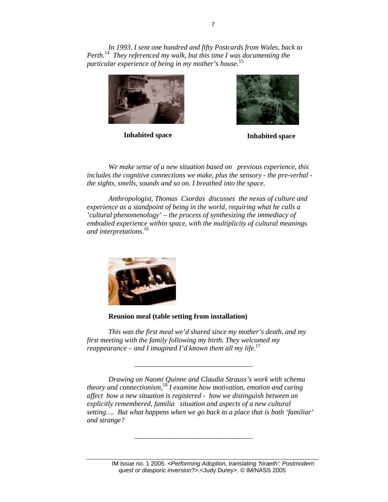*In 1993, I sent one hundred and fifty Postcards from Wales, back to Perth.*<sup>14</sup> *They referenced my walk, but this time I was documenting the particular experience of being in my mother's house*. 15





**Inhabited space Inhabited space** 

*We make sense of a new situation based on previous experience, this includes the cognitive connections we make, plus the sensory - the pre-verbal the sights, smells, sounds and so on. I breathed into the space*.

*Anthropologist, Thomas Csordas discusses the nexus of culture and experience as a standpoint of being in the world, requiring what he calls a 'cultural phenomenology' – the process of synthesizing the immediacy of embodied experience within space, with the multiplicity of cultural meanings and interpretations*. 16



**Reunion meal (table setting from installation)** 

\_\_\_\_\_\_\_\_\_\_\_\_\_\_\_\_\_\_\_\_\_\_\_\_\_\_\_\_\_\_\_\_\_

 $\overline{\phantom{a}}$  ,  $\overline{\phantom{a}}$  ,  $\overline{\phantom{a}}$  ,  $\overline{\phantom{a}}$  ,  $\overline{\phantom{a}}$  ,  $\overline{\phantom{a}}$  ,  $\overline{\phantom{a}}$  ,  $\overline{\phantom{a}}$  ,  $\overline{\phantom{a}}$  ,  $\overline{\phantom{a}}$  ,  $\overline{\phantom{a}}$  ,  $\overline{\phantom{a}}$  ,  $\overline{\phantom{a}}$  ,  $\overline{\phantom{a}}$  ,  $\overline{\phantom{a}}$  ,  $\overline{\phantom{a}}$ 

*This was the first meal we'd shared since my mother's death, and my first meeting with the family following my birth. They welcomed my reappearance – and I imagined I'd known them all my life*. 17

*Drawing on Naomi Quinne and Claudia Strauss's work with schema theory and connectionism,*<sup>18</sup> *I examine how motivation, emotion and caring affect how a new situation is registered - how we distinguish between an explicitly remembered, familia situation and aspects of a new cultural setting…. But what happens when we go back to a place that is both 'familiar' and strange?*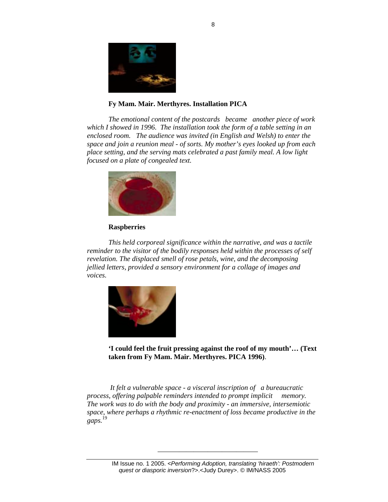

## **Fy Mam. Mair. Merthyres. Installation PICA**

*The emotional content of the postcards became another piece of work which I showed in 1996. The installation took the form of a table setting in an enclosed room. The audience was invited (in English and Welsh) to enter the space and join a reunion meal - of sorts. My mother's eyes looked up from each place setting, and the serving mats celebrated a past family meal. A low light focused on a plate of congealed text.* 



## **Raspberries**

*This held corporeal significance within the narrative, and was a tactile reminder to the visitor of the bodily responses held within the processes of self revelation. The displaced smell of rose petals, wine, and the decomposing jellied letters, provided a sensory environment for a collage of images and voices.* 



**'I could feel the fruit pressing against the roof of my mouth'… (Text taken from Fy Mam. Mair. Merthyres. PICA 1996)**.

*It felt a vulnerable space - a visceral inscription of a bureaucratic process, offering palpable reminders intended to prompt implicit memory. The work was to do with the body and proximity - an immersive, intersemiotic space, where perhaps a rhythmic re-enactment of loss became productive in the gaps.* 19

 $\overline{\phantom{a}}$  , and the contract of the contract of the contract of the contract of the contract of the contract of the contract of the contract of the contract of the contract of the contract of the contract of the contrac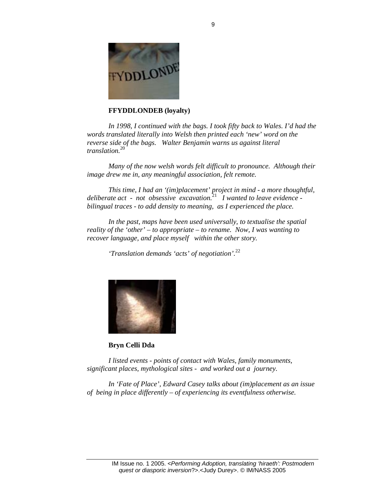

## **FFYDDLONDEB (loyalty)**

*In 1998, I continued with the bags. I took fifty back to Wales. I'd had the words translated literally into Welsh then printed each 'new' word on the reverse side of the bags. Walter Benjamin warns us against literal translation.*20

*Many of the now welsh words felt difficult to pronounce. Although their image drew me in, any meaningful association, felt remote.* 

*This time, I had an '(im)placement' project in mind - a more thoughtful, deliberate act - not obsessive excavation.*<sup>21</sup> *I wanted to leave evidence bilingual traces - to add density to meaning, as I experienced the place.* 

*In the past, maps have been used universally, to textualise the spatial reality of the 'other' – to appropriate – to rename. Now, I was wanting to recover language, and place myself within the other story.* 

*'Translation demands 'acts' of negotiation'.*22



**Bryn Celli Dda** 

*I listed events - points of contact with Wales, family monuments, significant places, mythological sites - and worked out a journey.* 

*In 'Fate of Place', Edward Casey talks about (im)placement as an issue of being in place differently – of experiencing its eventfulness otherwise.*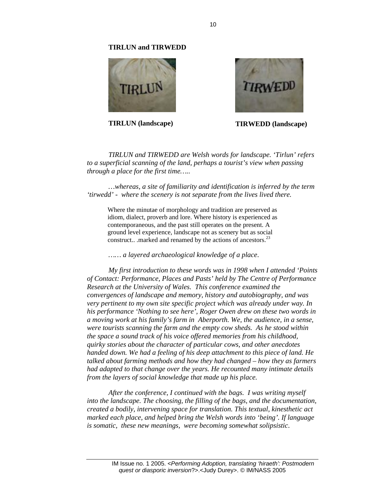#### **TIRLUN and TIRWEDD**





**TIRLUN (landscape) TIRWEDD (landscape)** 

*TIRLUN and TIRWEDD are Welsh words for landscape. 'Tirlun' refers to a superficial scanning of the land, perhaps a tourist's view when passing through a place for the first time…..* 

*…whereas, a site of familiarity and identification is inferred by the term 'tirwedd' - where the scenery is not separate from the lives lived there.*

Where the minutae of morphology and tradition are preserved as idiom, dialect, proverb and lore. Where history is experienced as contemporaneous, and the past still operates on the present. A ground level experience, landscape not as scenery but as social construct.. .marked and renamed by the actions of ancestors.<sup>23</sup>

*…… a layered archaeological knowledge of a place*.

*My first introduction to these words was in 1998 when I attended 'Points of Contact: Performance, Places and Pasts' held by The Centre of Performance Research at the University of Wales. This conference examined the convergences of landscape and memory, history and autobiography, and was very pertinent to my own site specific project which was already under way. In his performance 'Nothing to see here', Roger Owen drew on these two words in a moving work at his family's farm in Aberporth. We, the audience, in a sense, were tourists scanning the farm and the empty cow sheds. As he stood within the space a sound track of his voice offered memories from his childhood, quirky stories about the character of particular cows, and other anecdotes handed down. We had a feeling of his deep attachment to this piece of land. He talked about farming methods and how they had changed – how they as farmers had adapted to that change over the years. He recounted many intimate details from the layers of social knowledge that made up his place.* 

*After the conference, I continued with the bags. I was writing myself into the landscape. The choosing, the filling of the bags, and the documentation, created a bodily, intervening space for translation. This textual, kinesthetic act marked each place, and helped bring the Welsh words into 'being'. If language is somatic, these new meanings, were becoming somewhat solipsistic*.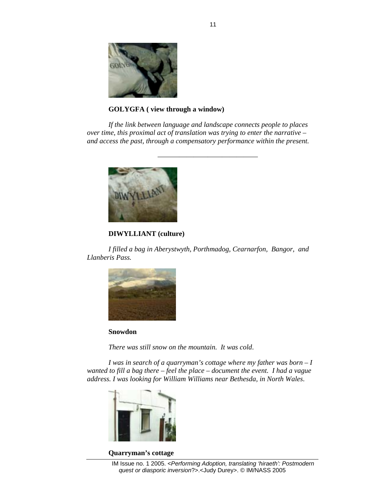

**GOLYGFA ( view through a window)** 

*If the link between language and landscape connects people to places over time, this proximal act of translation was trying to enter the narrative – and access the past, through a compensatory performance within the present.* 

 $\overline{\phantom{a}}$  , and the contract of the contract of the contract of the contract of the contract of the contract of the contract of the contract of the contract of the contract of the contract of the contract of the contrac



## **DIWYLLIANT (culture)**

*I filled a bag in Aberystwyth, Porthmadog, Cearnarfon, Bangor, and Llanberis Pass.* 



**Snowdon** 

*There was still snow on the mountain. It was cold*.

*I was in search of a quarryman's cottage where my father was born – I wanted to fill a bag there – feel the place – document the event. I had a vague address. I was looking for William Williams near Bethesda, in North Wales*.



#### **Quarryman's cottage**

IM Issue no. 1 2005. <*Performing Adoption, translating 'hiraeth': Postmodern quest or diasporic inversion*?>.<Judy Durey>. © IM/NASS 2005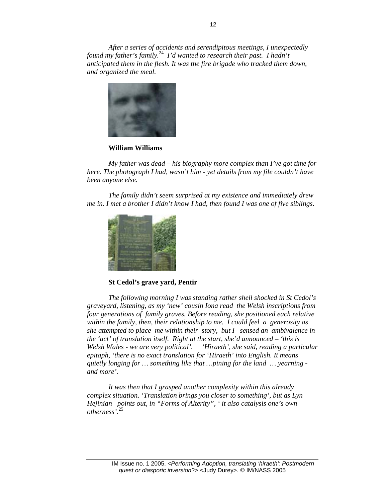*After a series of accidents and serendipitous meetings, I unexpectedly found my father's family.*<sup>24</sup> *I'd wanted to research their past. I hadn't anticipated them in the flesh. It was the fire brigade who tracked them down, and organized the meal.* 



#### **William Williams**

*My father was dead – his biography more complex than I've got time for here. The photograph I had, wasn't him - yet details from my file couldn't have been anyone else.* 

*The family didn't seem surprised at my existence and immediately drew me in. I met a brother I didn't know I had, then found I was one of five siblings*.



**St Cedol's grave yard, Pentir** 

*The following morning I was standing rather shell shocked in St Cedol's graveyard, listening, as my 'new' cousin Iona read the Welsh inscriptions from four generations of family graves. Before reading, she positioned each relative within the family, then, their relationship to me. I could feel a generosity as she attempted to place me within their story, but I sensed an ambivalence in the 'act' of translation itself. Right at the start, she'd announced – 'this is Welsh Wales - we are very political'. 'Hiraeth', she said, reading a particular epitaph, 'there is no exact translation for 'Hiraeth' into English. It means quietly longing for … something like that …pining for the land … yearning and more'.* 

*It was then that I grasped another complexity within this already complex situation. 'Translation brings you closer to something', but as Lyn Hejinian points out, in "Forms of Alterity", ' it also catalysis one's own otherness'*. 25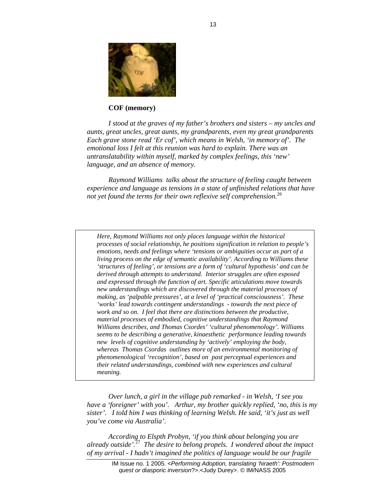

## **COF (memory)**

*I stood at the graves of my father's brothers and sisters – my uncles and aunts, great uncles, great aunts, my grandparents, even my great grandparents Each grave stone read 'Er cof', which means in Welsh, 'in memory of'. The emotional loss I felt at this reunion was hard to explain. There was an untranslatability within myself, marked by complex feelings, this 'new' language, and an absence of memory.* 

*Raymond Williams talks about the structure of feeling caught between experience and language as tensions in a state of unfinished relations that have not yet found the terms for their own reflexive self comprehension.*26

*Here, Raymond Williams not only places language within the historical processes of social relationship, he positions signification in relation to people's emotions, needs and feelings where 'tensions or ambiguities occur as part of a living process on the edge of semantic availability'. According to Williams these 'structures of feeling', or tensions are a form of 'cultural hypothesis' and can be derived through attempts to understand. Interior struggles are often exposed and expressed through the function of art. Specific* art*iculations move towards new understandings which are discovered through the material processes of making, as 'palpable pressures', at a level of 'practical consciousness'. These 'works' lead towards contingent understandings - towards the next piece of work and so on. I feel that there are distinctions between the productive, material processes of embodied, cognitive understandings that Raymond Williams describes, and Thomas Csordes' 'cultural phenomenology'. Williams seems to be describing a generative, kinaesthetic performance leading towards new levels of cognitive understanding by 'actively' employing the body, whereas Thomas Csordas outlines more of an environmental monitoring of phenomenological 'recognition', based on past perceptual experiences and their related understandings, combined with new experiences and cultural meaning.* 

*Over lunch, a girl in the village pub remarked - in Welsh, 'I see you have a 'foreigner' with you'. Arthur, my brother quickly replied, 'no, this is my sister'. I told him I was thinking of learning Welsh. He said, 'it's just as well you've come via Australia'*.

*According to Elspth Probyn, 'if you think about belonging you are already outside'.*<sup>27</sup> *The desire to belong propels. I wondered about the impact of my arrival - I hadn't imagined the politics of language would be our fragile*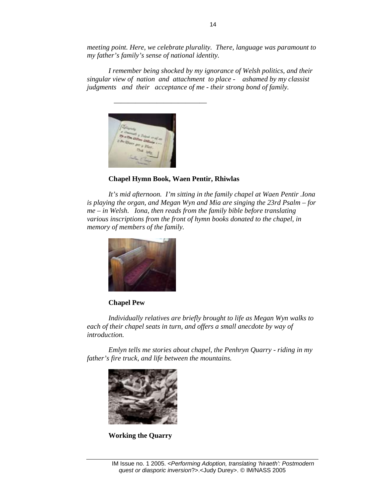*meeting point. Here, we celebrate plurality. There, language was paramount to my father's family's sense of national identity.* 

*I remember being shocked by my ignorance of Welsh politics, and their singular view of nation and attachment to place - ashamed by my classist judgments and their acceptance of me - their strong bond of family.* 



**Chapel Hymn Book, Waen Pentir, Rhiwlas** 

*It's mid afternoon. I'm sitting in the family chapel at Waen Pentir .Iona is playing the organ, and Megan Wyn and Mia are singing the 23rd Psalm – for me – in Welsh. Iona, then reads from the family bible before translating various inscriptions from the front of hymn books donated to the chapel, in memory of members of the family.* 



## **Chapel Pew**

*Individually relatives are briefly brought to life as Megan Wyn walks to each of their chapel seats in turn, and offers a small anecdote by way of introduction.* 

*Emlyn tells me stories about chapel, the Penhryn Quarry - riding in my father's fire truck, and life between the mountains.*



**Working the Quarry**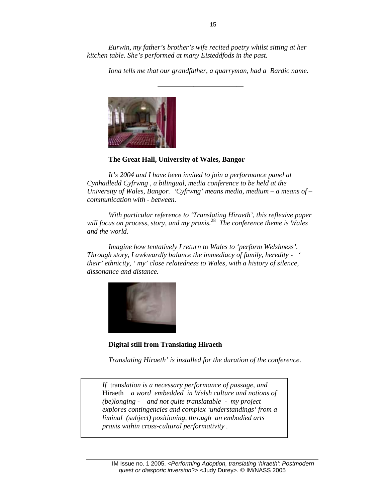*Eurwin, my father's brother's wife recited poetry whilst sitting at her kitchen table. She's performed at many Eisteddfods in the past.* 

*Iona tells me that our grandfather, a quarryman, had a Bardic name.* 



## **The Great Hall, University of Wales, Bangor**

*It's 2004 and I have been invited to join a performance panel at Cynhadledd Cyfrwng , a bilingual, media conference to be held at the University of Wales, Bangor. 'Cyfrwng' means media, medium – a means of – communication with - between.* 

*With particular reference to 'Translating Hiraeth', this reflexive paper will focus on process, story, and my praxis.*<sup>28</sup> *The conference theme is Wales and the world.* 

*Imagine how tentatively I return to Wales to 'perform Welshness'. Through story, I awkwardly balance the immediacy of family, heredity - ' their' ethnicity, ' my' close relatedness to Wales, with a history of silence, dissonance and distance.*



**Digital still from Translating Hiraeth** 

*Translating Hiraeth' is installed for the duration of the conference*.

*If* trans*lation is a necessary performance of passage, and*  Hiraeth *a word embedded in Welsh culture and notions of (be)longing - and not quite translatable - my project explores contingencies and complex 'understandings' from a liminal (subject) positioning, through an embodied arts praxis within cross-cultural performativity .*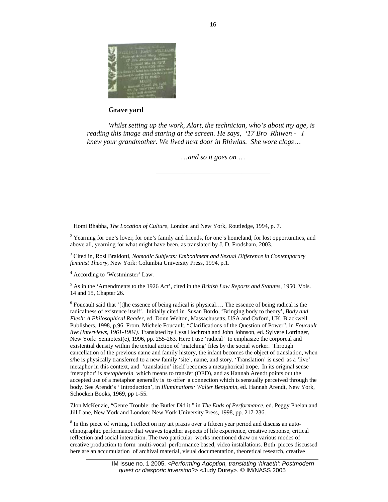

**Grave yard** 

*Whilst setting up the work, Alart, the technician, who's about my age, is reading this image and staring at the screen. He says, '17 Bro Rhiwen - I knew your grandmother. We lived next door in Rhiwlas. She wore clogs*…

…*and so it goes on* …

<sup>1</sup> Homi Bhabha, *The Location of Culture*, London and New York, Routledge, 1994, p. 7.

<sup>2</sup> Yearning for one's lover, for one's family and friends, for one's homeland, for lost opportunities, and above all, yearning for what might have been, as translated by J. D. Frodsham, 2003.

————————————————

3 Cited in, Rosi Braidotti, *Nomadic Subjects: Embodiment and Sexual Difference in Contemporary feminist Theory*, New York: Columbia University Press, 1994, p.1.

<sup>4</sup> According to 'Westminster' Law.

 $\overline{a}$ 

5 As in the 'Amendments to the 1926 Act', cited in the *British Law Reports and Statutes*, 1950, Vols. 14 and 15, Chapter 26.

 $6$  Foucault said that '[t]he essence of being radical is physical.... The essence of being radical is the radicalness of existence itself'. Initially cited in Susan Bordo, 'Bringing body to theory', *Body and Flesh: A Philosophical Reader*, ed. Donn Welton, Massachusetts, USA and Oxford, UK, Blackwell Publishers, 1998, p.96. From, Michele Foucault, "Clarifications of the Question of Power", in *Foucault live (Interviews, 1961-1984).* Translated by Lysa Hochroth and John Johnson, ed. Sylvere Lotringer, New York: Semiotext(e), 1996, pp. 255-263. Here I use 'radical' to emphasize the corporeal and existential density within the textual action of 'matching' files by the social worker. Through cancellation of the previous name and family history, the infant becomes the object of translation, when s/he is physically transferred to a new family 'site', name, and story. 'Translation' is used as a 'live' metaphor in this context, and 'translation' itself becomes a metaphorical trope. In its original sense 'metaphor' is *metapherein* which means to transfer (OED), and as Hannah Arendt points out the accepted use of a metaphor generally is to offer a connection which is sensually perceived through the body. See Arendt's ' Introduction', in *Illuminations: Walter Benjamin*, ed. Hannah Arendt, New York, Schocken Books, 1969, pp 1-55.

7Jon McKenzie, "Genre Trouble: the Butler Did it," in *The Ends of Performance*, ed. Peggy Phelan and Jill Lane, New York and London: New York University Press, 1998, pp. 217-236.

<sup>8</sup> In this piece of writing, I reflect on my art praxis over a fifteen year period and discuss an autoethnographic performance that weaves together aspects of life experience, creative response, critical reflection and social interaction. The two particular works mentioned draw on various modes of creative production to form multi-vocal performance based, video installations. Both pieces discussed here are an accumulation of archival material, visual documentation, theoretical research, creative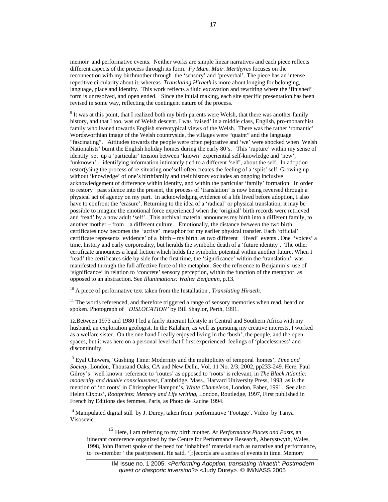memoir and performative events. Neither works are simple linear narratives and each piece reflects different aspects of the process through its form. *Fy Mam. Mair. Merthyres* focuses on the reconnection with my birthmother through the 'sensory' and 'preverbal'. The piece has an intense repetitive circularity about it, whereas *Translating Hiraeth* is more about longing for belonging, language, place and identity. This work reflects a fluid excavation and rewriting where the 'finished' form is unresolved, and open ended. Since the initial making, each site specific presentation has been revised in some way, reflecting the contingent nature of the process.

-

<sup>9</sup> It was at this point, that I realized both my birth parents were Welsh, that there was another family history, and that I too, was of Welsh descent. I was 'raised' in a middle class, English, pro-monarchist family who leaned towards English stereotypical views of the Welsh. There was the rather 'romantic' Wordsworthian image of the Welsh countryside, the villages were "quaint" and the language "fascinating". Attitudes towards the people were often pejorative and 'we' were shocked when Welsh Nationalists' burnt the English holiday homes during the early 80's. This 'rupture' within my sense of identity set up a 'particular' tension between 'known' experiential self-knowledge and 'new', 'unknown' - identifying information intimately tied to a different 'self', about the self. In adoption restor(y)ing the process of re-situating one'self often creates the feeling of a 'split' self. Growing up without 'knowledge' of one's birthfamily and their history excludes an ongoing inclusive acknowledgement of difference within identity, and within the particular 'family' formation. In order to restory past silence into the present, the process of 'translation' is now being reversed through a physical act of agency on my part. In acknowledging evidence of a life lived before adoption, I also have to confront the 'erasure'. Returning to the idea of a 'radical' or physical translation, it may be possible to imagine the emotional force experienced when the 'original' birth records were retrieved and 'read' by a now adult 'self'. This archival material announces my birth into a different family, to another mother – from a different culture. Emotionally, the distance *between* the two birth certificates now becomes the 'active' metaphor for my earlier physical transfer. Each 'official' certificate represents 'evidence' of a birth – my birth, as two different 'lived' events . One 'voices' a time, history and early corporeality, but heralds the symbolic death of a 'future identity'. The other certificate announces a legal fiction which holds the symbolic potential within another future. When I 'read' the certificates side by side for the first time, the 'significance' within the 'translation' was manifested through the full affective force of the metaphor. See the reference to Benjamin's use of 'significance' in relation to 'concrete' sensory perception, within the function of the metaphor, as opposed to an abstraction. See *Illunimations: Walter Benjamin*, p.13.

10 A piece of performative text taken from the Installation , *Translating Hiraeth.* 

 $11$  The words referenced, and therefore triggered a range of sensory memories when read, heard or spoken. Photograph of *'DISLOCATION'* by Bill Shaylor, Perth, 1991.

12.Between 1973 and 1980 I led a fairly itinerant lifestyle in Central and Southern Africa with my husband, an exploration geologist. In the Kalahari, as well as pursuing my creative interests, I worked as a welfare sister. On the one hand I really enjoyed living in the 'bush', the people, and the open spaces, but it was here on a personal level that I first experienced feelings of 'placelessness' and discontinuity.

13 Eyal Chowers, 'Gushing Time: Modernity and the multiplicity of temporal homes', *Time and Society*, London, Thousand Oaks, CA and New Delhi, Vol. 11 No. 2/3, 2002, pp233-249. Here, Paul Gilroy's well known reference to 'routes' as opposed to 'roots' is relevant, in *The Black Atlantic*: *modernity and double consciousness*, Cambridge, Mass., Harvard University Press, 1993, as is the mention of 'no roots' in Christopher Hampon's, *White Chameleon*, London, Faber, 1991. See also Helen Cixous', *Rootprints: Memory and Life writing*, London, Routledge, 1997, First published in French by Editions des femmes, Paris, as Photo de Racine 1994.

<sup>14</sup> Manipulated digital still by J. Durey, taken from performative 'Footage'. Video by Tanya Visosevic.

<sup>15</sup> Here, I am referring to my birth mother. At *Performance Places and Pasts*, an itinerant conference organized by the Centre for Performance Research, Aberystwyth, Wales, 1998, John Barrett spoke of the need for 'inhabited' material such as narrative and performance, to 're-member ' the past/present. He said, '[r]ecords are a series of events in time. Memory

> IM Issue no. 1 2005. <*Performing Adoption, translating 'hiraeth': Postmodern quest or diasporic inversion*?>.<Judy Durey>. © IM/NASS 2005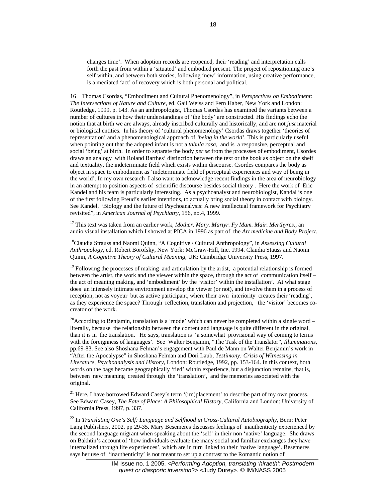changes time'. When adoption records are reopened, their 'reading' and interpretation calls forth the past from within a 'situated' and embodied present. The project of repositioning one's self within, and between both stories, following 'new' information, using creative performance, is a mediated 'act' of recovery which is both personal and political.

-

16 Thomas Csordas, "Embodiment and Cultural Phenomenology", in *Perspectives on Embodiment: The Intersections of Nature and Culture*, ed. Gail Weiss and Fern Haber, New York and London: Routledge, 1999, p. 143. As an anthropologist, Thomas Csordas has examined the variants between a number of cultures in how their understandings of 'the body' are constructed. His findings echo the notion that at birth we are always, already inscribed culturally and historically, and are not *just* material or biological entities. In his theory of 'cultural phenomenology' Csordas draws together 'theories of representation' and a phenomenological approach of *'being in the world'.* This is particularly useful when pointing out that the adopted infant is not a *tabula rasa,* and is a responsive, perceptual and social 'being' at birth. In order to separate the body *per se* from the processes of embodiment, Csordes draws an analogy with Roland Barthes' distinction between the text or the book as object on the shelf and textuality, the indeterminate field which exists within discourse. Csordes compares the body as object in space to embodiment as 'indeterminate field of perceptual experiences and way of being in the world'. In my own research I also want to acknowledge recent findings in the area of neurobiology in an attempt to position aspects of scientific discourse besides social theory . Here the work of Eric Kandel and his team is particularly interesting. As a psychoanalyst and neurobiologist, Kandal is one of the first following Freud's earlier intentions, to actually bring social theory in contact with biology. See Kandel, "Biology and the future of Psychoanalysis: A new intellectual framework for Psychiatry revisited", in *American Journal of Psychiatry*, 156, no.4, 1999.

17 This text was taken from an earlier work, *Mother. Mary. Martyr. Fy Mam. Mair. Merthyres*., an audio visual installation which I showed at PICA in 1996 as part of the *Art medicine and Body Project*.

18Claudia Strauss and Naomi Quinn, "A Cognitive / Cultural Anthropology", in *Assessing Cultural Anthropology*, ed. Robert Borofsky, New York: McGraw-Hill, Inc, 1994. Claudia Stauss and Naomi Quinn, *A Cognitive Theory of Cultural Meaning*, UK: Cambridge University Press, 1997.

<sup>19</sup> Following the processes of making and articulation by the artist, a potential relationship is formed between the artist, the work and the viewer within the space, through the act of communication itself – the act of meaning making, and 'embodiment' by the 'visitor' within the installation'. At what stage does an intensely intimate environment envelop the viewer (or not), and involve them in a process of reception, not as voyeur but as active participant, where their own interiority creates their 'reading', as they experience the space? Through reflection, translation and projection, the 'visitor' becomes cocreator of the work.

<sup>20</sup>According to Benjamin, translation is a 'mode' which can never be completed within a single word – literally, because the relationship between the content and language is quite different in the original, than it is in the translation. He says, translation is 'a somewhat provisional way of coming to terms with the foreignness of languages'. See Walter Benjamin, "The Task of the Translator", *Illuminations,*  pp.69-83. See also Shoshana Felman's engagement with Paul de Mann on Walter Benjamin's work in "After the Apocalypse" in Shoshana Felman and Dori Laub, *Testimony: Crisis of Witnessing in Literature, Psychoanalysis and History*, London: Routledge, 1992, pp. 153-164. In this context, both words on the bags became geographically 'tied' within experience, but a disjunction remains, that is, between new meaning created through the 'translation', and the memories associated with the original.

<sup>21</sup> Here, I have borrowed Edward Casey's term '(im)placement' to describe part of my own process. See Edward Casey, *The Fate of Place: A Philosophical History*, California and London: University of California Press, 1997, p. 337.

22 In *Translating One's Self: Language and Selfhood in Cross-Cultural Autobiography*, Bern: Peter Lang Publishers, 2002, pp 29-35. Mary Besemeres discusses feelings of inauthenticity experienced by the second language migrant when speaking about the 'self' in their non 'native' language. She draws on Bakhtin's account of 'how individuals evaluate the many social and familiar exchanges they have internalized through life experiences', which are in turn linked to their 'native language'. Besemeres says her use of 'inauthenticity' is not meant to set up a contrast to the Romantic notion of